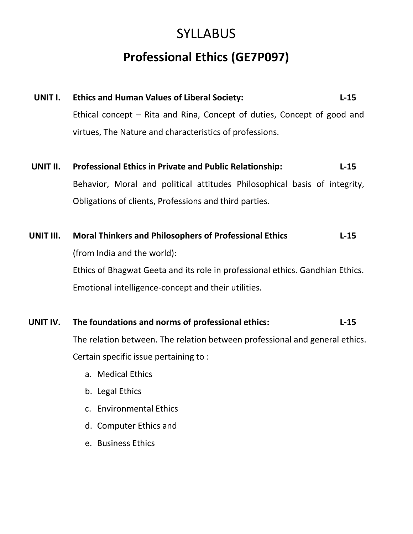# **SYLLABUS Professional Ethics (GE7P097)**

| UNIT I. | <b>Ethics and Human Values of Liberal Society:</b>                      | $L-15$ |
|---------|-------------------------------------------------------------------------|--------|
|         | Ethical concept – Rita and Rina, Concept of duties, Concept of good and |        |
|         | virtues, The Nature and characteristics of professions.                 |        |
|         |                                                                         |        |

- **UNIT II. Professional Ethics in Private and Public Relationship: L-15** Behavior, Moral and political attitudes Philosophical basis of integrity, Obligations of clients, Professions and third parties.
- **UNIT III. Moral Thinkers and Philosophers of Professional Ethics L-15** (from India and the world): Ethics of Bhagwat Geeta and its role in professional ethics. Gandhian Ethics. Emotional intelligence-concept and their utilities.

### **UNIT IV. The foundations and norms of professional ethics: L-15**

The relation between. The relation between professional and general ethics. Certain specific issue pertaining to :

- a. Medical Ethics
- b. Legal Ethics
- c. Environmental Ethics
- d. Computer Ethics and
- e. Business Ethics